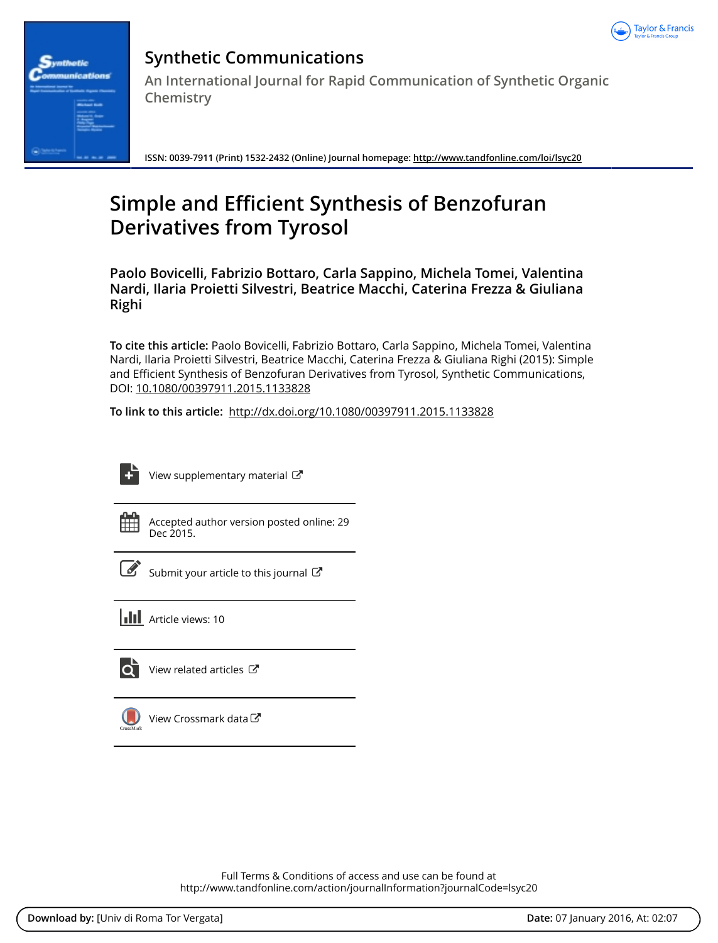



# **Synthetic Communications An International Journal for Rapid Communication of Synthetic Organic Chemistry**

**ISSN: 0039-7911 (Print) 1532-2432 (Online) Journal homepage:<http://www.tandfonline.com/loi/lsyc20>**

# **Simple and Efficient Synthesis of Benzofuran Derivatives from Tyrosol**

**Paolo Bovicelli, Fabrizio Bottaro, Carla Sappino, Michela Tomei, Valentina Nardi, Ilaria Proietti Silvestri, Beatrice Macchi, Caterina Frezza & Giuliana Righi**

**To cite this article:** Paolo Bovicelli, Fabrizio Bottaro, Carla Sappino, Michela Tomei, Valentina Nardi, Ilaria Proietti Silvestri, Beatrice Macchi, Caterina Frezza & Giuliana Righi (2015): Simple and Efficient Synthesis of Benzofuran Derivatives from Tyrosol, Synthetic Communications, DOI: [10.1080/00397911.2015.1133828](http://www.tandfonline.com/action/showCitFormats?doi=10.1080/00397911.2015.1133828)

**To link to this article:** <http://dx.doi.org/10.1080/00397911.2015.1133828>



[View supplementary material](http://www.tandfonline.com/doi/suppl/10.1080/00397911.2015.1133828)  $\mathbb{Z}$ 

Accepted author version posted online: 29 Dec 2015.



 $\overline{\mathscr{L}}$  [Submit your article to this journal](http://www.tandfonline.com/action/authorSubmission?journalCode=lsyc20&page=instructions)  $\mathbb{Z}$ 





View related articles



[View Crossmark data](http://crossmark.crossref.org/dialog/?doi=10.1080/00397911.2015.1133828&domain=pdf&date_stamp=2015-12-29)<sup>C</sup>

Full Terms & Conditions of access and use can be found at <http://www.tandfonline.com/action/journalInformation?journalCode=lsyc20>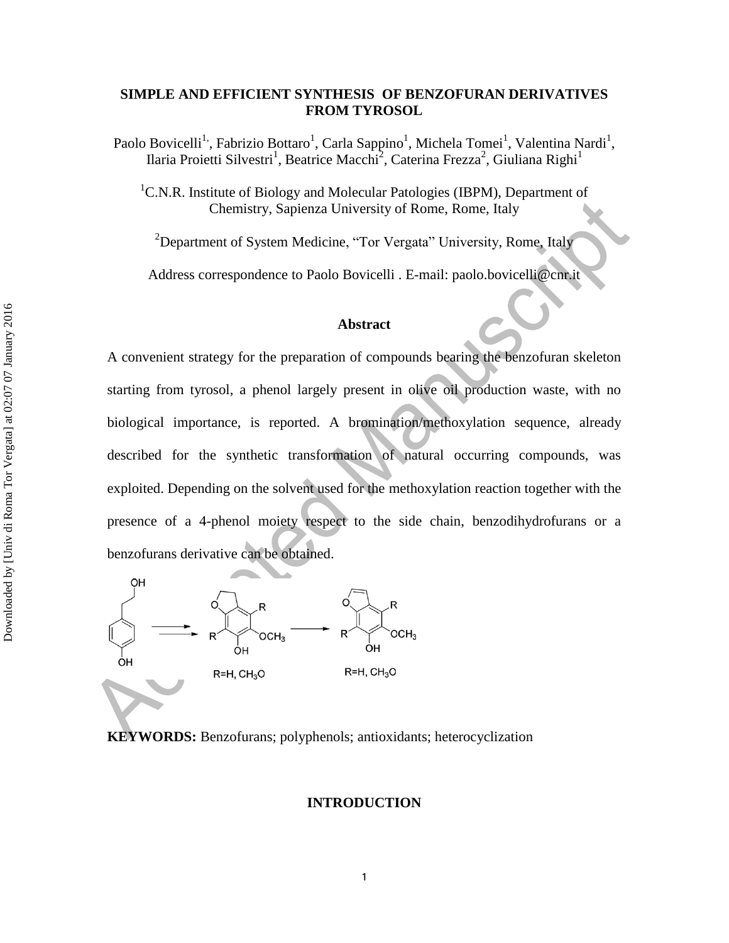# **SIMPLE AND EFFICIENT SYNTHESIS OF BENZOFURAN DERIVATIVES FROM TYROSOL**

Paolo Bovicelli<sup>1,</sup>, Fabrizio Bottaro<sup>1</sup>, Carla Sappino<sup>1</sup>, Michela Tomei<sup>1</sup>, Valentina Nardi<sup>1</sup>, Ilaria Proietti Silvestri<sup>1</sup>, Beatrice Macchi<sup>2</sup>, Caterina Frezza<sup>2</sup>, Giuliana Righi<sup>1</sup>

<sup>1</sup>C.N.R. Institute of Biology and Molecular Patologies (IBPM), Department of Chemistry, Sapienza University of Rome, Rome, Italy

<sup>2</sup>Department of System Medicine, "Tor Vergata" University, Rome, Italy

Address correspondence to Paolo Bovicelli . E-mail: paolo.bovicelli@cnr.it

# **Abstract**

A convenient strategy for the preparation of compounds bearing the benzofuran skeleton starting from tyrosol, a phenol largely present in olive oil production waste, with no biological importance, is reported. A bromination/methoxylation sequence, already described for the synthetic transformation of natural occurring compounds, was exploited. Depending on the solvent used for the methoxylation reaction together with the presence of a 4-phenol moiety respect to the side chain, benzodihydrofurans or a benzofurans derivative can be obtained.



**KEYWORDS:** Benzofurans; polyphenols; antioxidants; heterocyclization

#### **INTRODUCTION**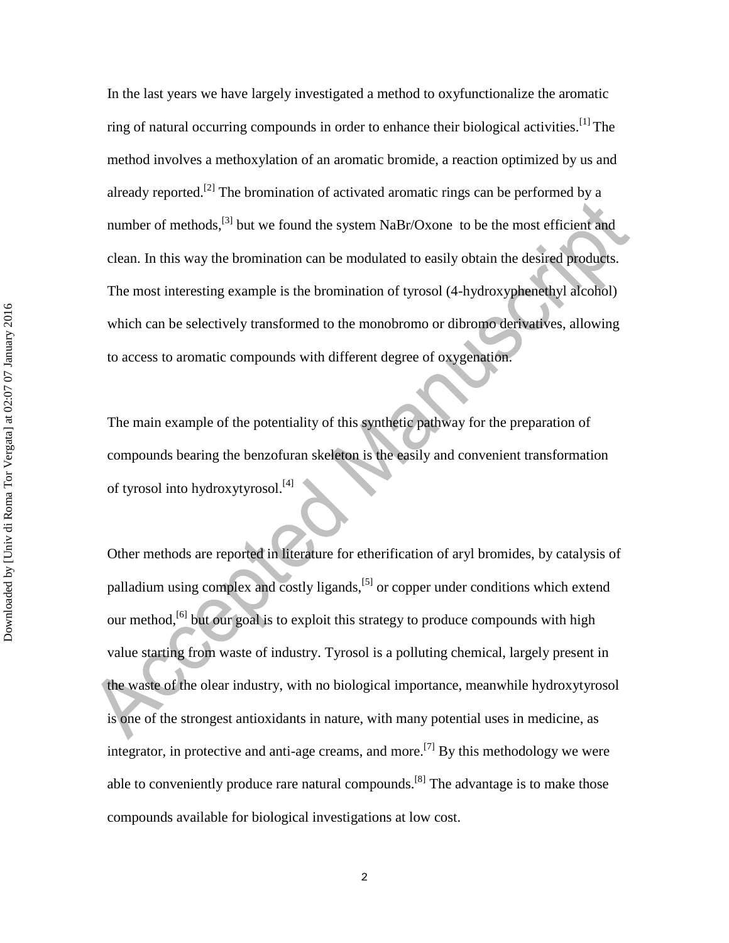In the last years we have largely investigated a method to oxyfunctionalize the aromatic ring of natural occurring compounds in order to enhance their biological activities.[1] The method involves a methoxylation of an aromatic bromide, a reaction optimized by us and already reported.<sup>[2]</sup> The bromination of activated aromatic rings can be performed by a number of methods,<sup>[3]</sup> but we found the system NaBr/Oxone to be the most efficient and clean. In this way the bromination can be modulated to easily obtain the desired products. The most interesting example is the bromination of tyrosol (4-hydroxyphenethyl alcohol) which can be selectively transformed to the monobromo or dibromo derivatives, allowing to access to aromatic compounds with different degree of oxygenation.

The main example of the potentiality of this synthetic pathway for the preparation of compounds bearing the benzofuran skeleton is the easily and convenient transformation of tyrosol into hydroxytyrosol.<sup>[4]</sup>

Other methods are reported in literature for etherification of aryl bromides, by catalysis of palladium using complex and costly ligands,[5] or copper under conditions which extend our method,<sup>[6]</sup> but our goal is to exploit this strategy to produce compounds with high value starting from waste of industry. Tyrosol is a polluting chemical, largely present in the waste of the olear industry, with no biological importance, meanwhile hydroxytyrosol is one of the strongest antioxidants in nature, with many potential uses in medicine, as integrator, in protective and anti-age creams, and more.<sup>[7]</sup> By this methodology we were able to conveniently produce rare natural compounds.<sup>[8]</sup> The advantage is to make those compounds available for biological investigations at low cost.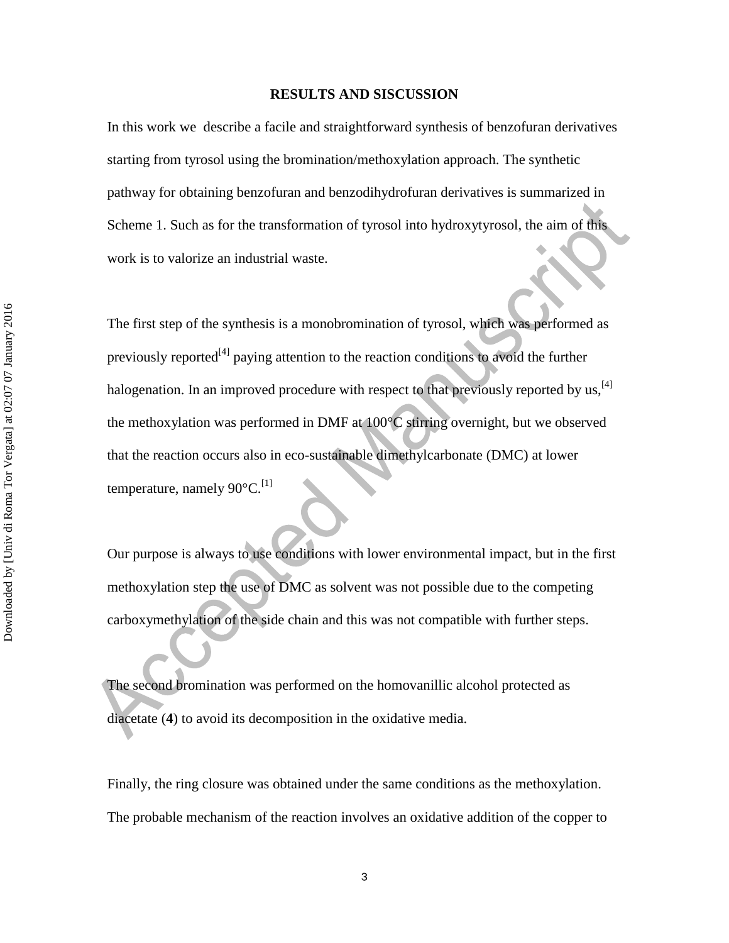#### **RESULTS AND SISCUSSION**

In this work we describe a facile and straightforward synthesis of benzofuran derivatives starting from tyrosol using the bromination/methoxylation approach. The synthetic pathway for obtaining benzofuran and benzodihydrofuran derivatives is summarized in Scheme 1. Such as for the transformation of tyrosol into hydroxytyrosol, the aim of this work is to valorize an industrial waste.

The first step of the synthesis is a monobromination of tyrosol, which was performed as previously reported<sup>[4]</sup> paying attention to the reaction conditions to avoid the further halogenation. In an improved procedure with respect to that previously reported by us,<sup>[4]</sup> the methoxylation was performed in DMF at 100°C stirring overnight, but we observed that the reaction occurs also in eco-sustainable dimethylcarbonate (DMC) at lower temperature, namely  $90^{\circ}$ C.<sup>[1]</sup>

Our purpose is always to use conditions with lower environmental impact, but in the first methoxylation step the use of DMC as solvent was not possible due to the competing carboxymethylation of the side chain and this was not compatible with further steps.

The second bromination was performed on the homovanillic alcohol protected as diacetate (**4**) to avoid its decomposition in the oxidative media.

Finally, the ring closure was obtained under the same conditions as the methoxylation. The probable mechanism of the reaction involves an oxidative addition of the copper to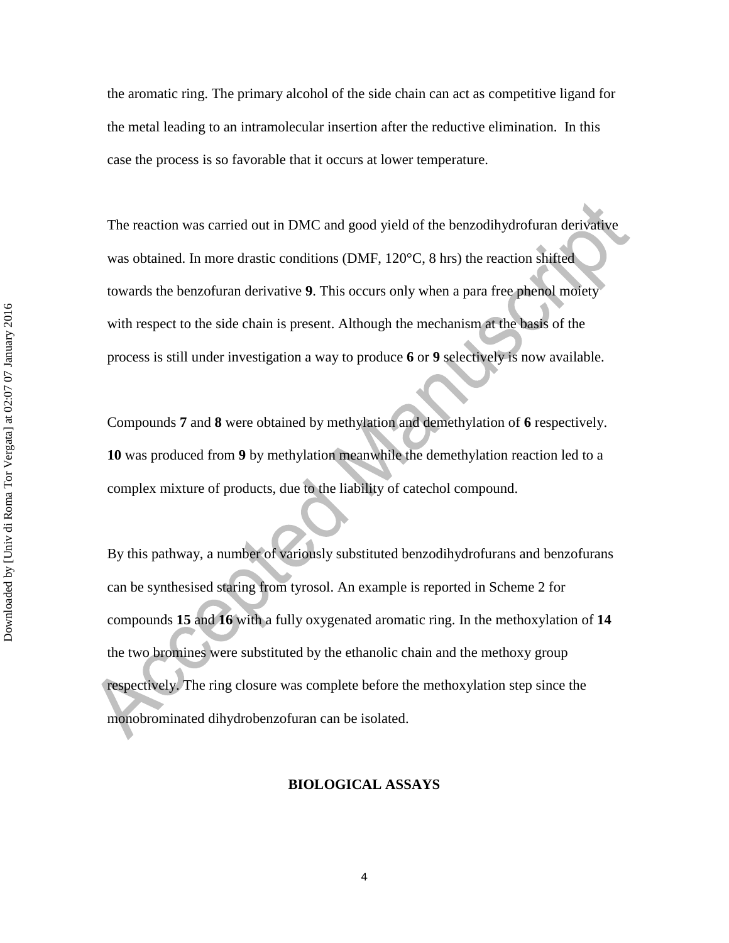the aromatic ring. The primary alcohol of the side chain can act as competitive ligand for the metal leading to an intramolecular insertion after the reductive elimination. In this case the process is so favorable that it occurs at lower temperature.

The reaction was carried out in DMC and good yield of the benzodihydrofuran derivative was obtained. In more drastic conditions (DMF, 120°C, 8 hrs) the reaction shifted towards the benzofuran derivative **9**. This occurs only when a para free phenol moiety with respect to the side chain is present. Although the mechanism at the basis of the process is still under investigation a way to produce **6** or **9** selectively is now available.

Compounds **7** and **8** were obtained by methylation and demethylation of **6** respectively. **10** was produced from **9** by methylation meanwhile the demethylation reaction led to a complex mixture of products, due to the liability of catechol compound.

By this pathway, a number of variously substituted benzodihydrofurans and benzofurans can be synthesised staring from tyrosol. An example is reported in Scheme 2 for compounds **15** and **16** with a fully oxygenated aromatic ring. In the methoxylation of **14** the two bromines were substituted by the ethanolic chain and the methoxy group respectively. The ring closure was complete before the methoxylation step since the monobrominated dihydrobenzofuran can be isolated.

### **BIOLOGICAL ASSAYS**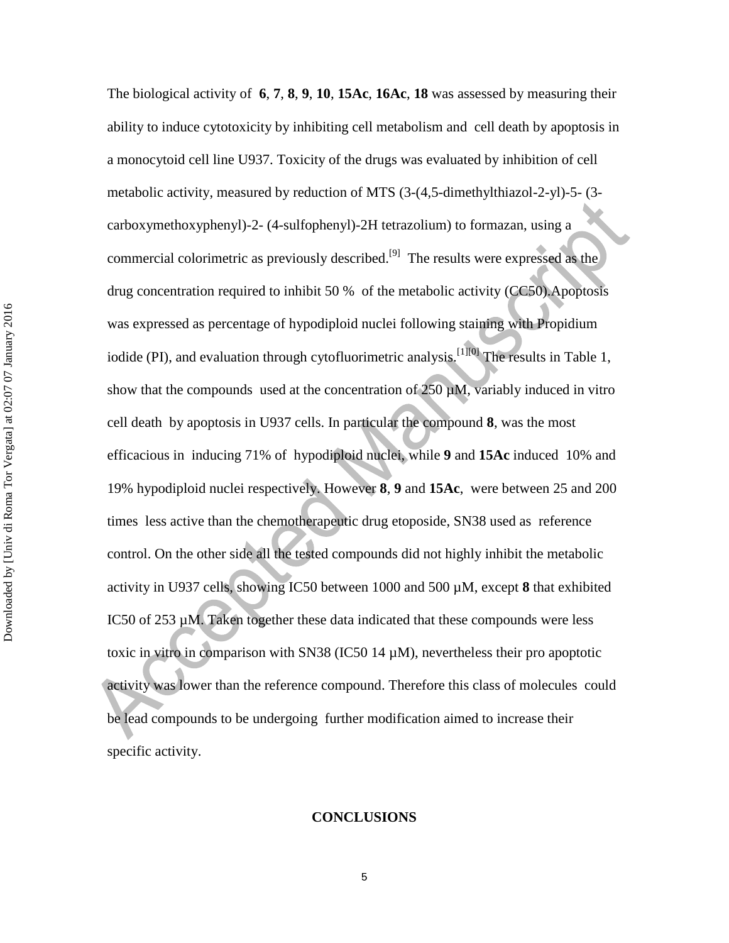The biological activity of **6**, **7**, **8**, **9**, **10**, **15Ac**, **16Ac**, **18** was assessed by measuring their ability to induce cytotoxicity by inhibiting cell metabolism and cell death by apoptosis in a monocytoid cell line U937. Toxicity of the drugs was evaluated by inhibition of cell metabolic activity, measured by reduction of MTS (3-(4,5-dimethylthiazol-2-yl)-5- (3 carboxymethoxyphenyl)-2- (4-sulfophenyl)-2H tetrazolium) to formazan, using a commercial colorimetric as previously described.<sup>[9]</sup> The results were expressed as the drug concentration required to inhibit 50 % of the metabolic activity (CC50).Apoptosis was expressed as percentage of hypodiploid nuclei following staining with Propidium iodide (PI), and evaluation through cytofluorimetric analysis.<sup>[1][0]</sup> The results in Table 1, show that the compounds used at the concentration of  $250 \mu M$ , variably induced in vitro cell death by apoptosis in U937 cells. In particular the compound **8**, was the most efficacious in inducing 71% of hypodiploid nuclei, while **9** and **15Ac** induced 10% and 19% hypodiploid nuclei respectively. However **8**, **9** and **15Ac**, were between 25 and 200 times less active than the chemotherapeutic drug etoposide, SN38 used as reference control. On the other side all the tested compounds did not highly inhibit the metabolic activity in U937 cells, showing IC50 between 1000 and 500 µM, except **8** that exhibited IC50 of 253 µM. Taken together these data indicated that these compounds were less toxic in vitro in comparison with SN38 (IC50 14 µM), nevertheless their pro apoptotic activity was lower than the reference compound. Therefore this class of molecules could be lead compounds to be undergoing further modification aimed to increase their specific activity.

#### **CONCLUSIONS**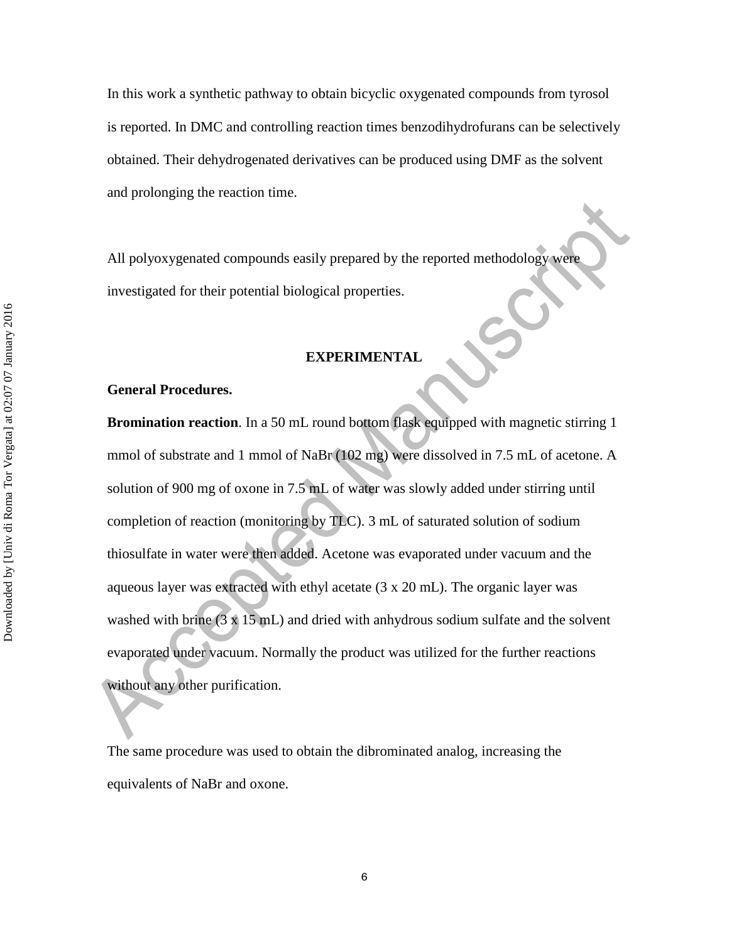In this work a synthetic pathway to obtain bicyclic oxygenated compounds from tyrosol is reported. In DMC and controlling reaction times benzodihydrofurans can be selectively obtained. Their dehydrogenated derivatives can be produced using DMF as the solvent and prolonging the reaction time.

All polyoxygenated compounds easily prepared by the reported methodology were investigated for their potential biological properties.

# **EXPERIMENTAL**

## **General Procedures.**

**Bromination reaction**. In a 50 mL round bottom flask equipped with magnetic stirring 1 mmol of substrate and 1 mmol of NaBr (102 mg) were dissolved in 7.5 mL of acetone. A solution of 900 mg of oxone in 7.5 mL of water was slowly added under stirring until completion of reaction (monitoring by TLC). 3 mL of saturated solution of sodium thiosulfate in water were then added. Acetone was evaporated under vacuum and the aqueous layer was extracted with ethyl acetate (3 x 20 mL). The organic layer was washed with brine  $(3 \times 15 \text{ mL})$  and dried with anhydrous sodium sulfate and the solvent evaporated under vacuum. Normally the product was utilized for the further reactions without any other purification.

The same procedure was used to obtain the dibrominated analog, increasing the equivalents of NaBr and oxone.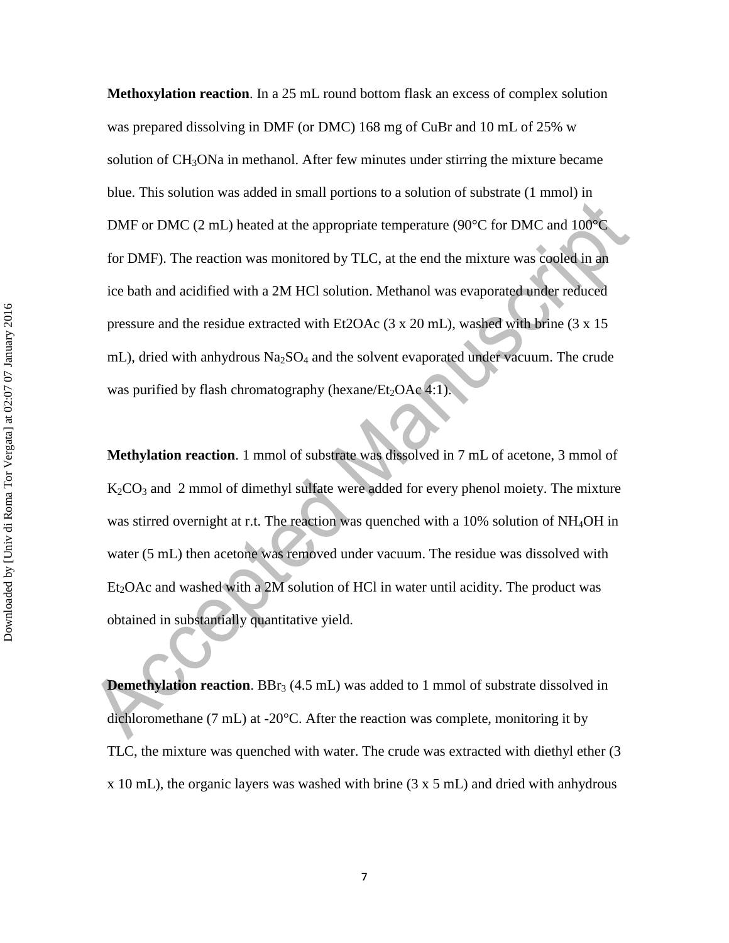**Methoxylation reaction**. In a 25 mL round bottom flask an excess of complex solution was prepared dissolving in DMF (or DMC) 168 mg of CuBr and 10 mL of 25% w solution of  $CH<sub>3</sub>ONa$  in methanol. After few minutes under stirring the mixture became blue. This solution was added in small portions to a solution of substrate (1 mmol) in DMF or DMC (2 mL) heated at the appropriate temperature (90°C for DMC and 100°C for DMF). The reaction was monitored by TLC, at the end the mixture was cooled in an ice bath and acidified with a 2M HCl solution. Methanol was evaporated under reduced pressure and the residue extracted with Et2OAc (3 x 20 mL), washed with brine (3 x 15 mL), dried with anhydrous  $Na<sub>2</sub>SO<sub>4</sub>$  and the solvent evaporated under vacuum. The crude was purified by flash chromatography (hexane/ $Et<sub>2</sub>OAc<sub>4</sub>:1$ ).

**Methylation reaction**. 1 mmol of substrate was dissolved in 7 mL of acetone, 3 mmol of K2CO<sup>3</sup> and 2 mmol of dimethyl sulfate were added for every phenol moiety. The mixture was stirred overnight at r.t. The reaction was quenched with a 10% solution of NH<sub>4</sub>OH in water (5 mL) then acetone was removed under vacuum. The residue was dissolved with  $Et<sub>2</sub>OAc$  and washed with a 2M solution of HCl in water until acidity. The product was obtained in substantially quantitative yield.

**Demethylation reaction.** BBr<sub>3</sub> (4.5 mL) was added to 1 mmol of substrate dissolved in dichloromethane (7 mL) at -20°C. After the reaction was complete, monitoring it by TLC, the mixture was quenched with water. The crude was extracted with diethyl ether (3 x 10 mL), the organic layers was washed with brine (3 x 5 mL) and dried with anhydrous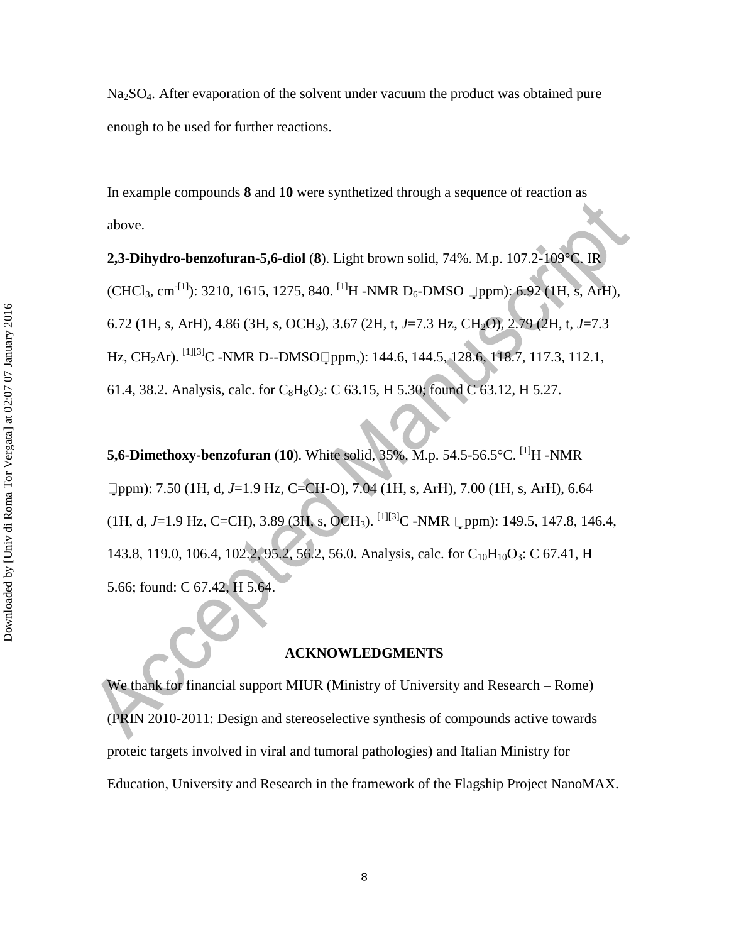Na<sub>2</sub>SO<sub>4</sub>. After evaporation of the solvent under vacuum the product was obtained pure enough to be used for further reactions.

In example compounds **8** and **10** were synthetized through a sequence of reaction as above.

**2,3-Dihydro-benzofuran-5,6-diol** (**8**). Light brown solid, 74%. M.p. 107.2-109°C. IR  $(CHCl<sub>3</sub>, cm<sup>-[1]</sup>)$ : 3210, 1615, 1275, 840. <sup>[1]</sup>H -NMR D<sub>6</sub>-DMSO  $\Box$ ppm): 6.92 (1H, s, ArH), 6.72 (1H, s, ArH), 4.86 (3H, s, OCH3), 3.67 (2H, t, *J*=7.3 Hz, CH2O), 2.79 (2H, t, *J*=7.3 Hz, CH<sub>2</sub>Ar). <sup>[1][3]</sup>C -NMR D--DMSO ppm,): 144.6, 144.5, 128.6, 118.7, 117.3, 112.1, 61.4, 38.2. Analysis, calc. for  $C_8H_8O_3$ : C 63.15, H 5.30; found C 63.12, H 5.27.

**5,6-Dimethoxy-benzofuran** (**10**). White solid, 35%. M.p. 54.5-56.5°C. [1]H -NMR ppm): 7.50 (1H, d, *J*=1.9 Hz, C=CH-O), 7.04 (1H, s, ArH), 7.00 (1H, s, ArH), 6.64  $(1H, d, J=1.9 \text{ Hz}, C=CH)$ , 3.89 (3H, s, OCH<sub>3</sub>). <sup>[1][3]</sup>C -NMR  $\Box$ ppm): 149.5, 147.8, 146.4, 143.8, 119.0, 106.4, 102.2, 95.2, 56.2, 56.0. Analysis, calc. for  $C_{10}H_{10}O_3$ : C 67.41, H 5.66; found: C 67.42, H 5.64.

#### **ACKNOWLEDGMENTS**

We thank for financial support MIUR (Ministry of University and Research – Rome) (PRIN 2010-2011: Design and stereoselective synthesis of compounds active towards proteic targets involved in viral and tumoral pathologies) and Italian Ministry for Education, University and Research in the framework of the Flagship Project NanoMAX.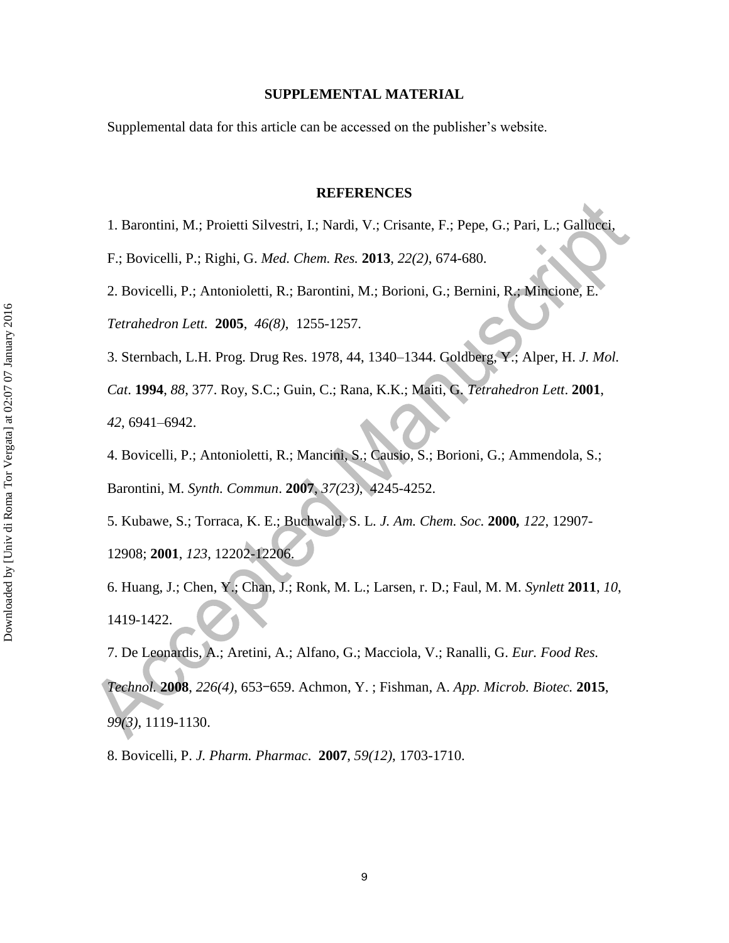#### **SUPPLEMENTAL MATERIAL**

Supplemental data for this article can be accessed on the publisher's website.

#### **REFERENCES**

1. Barontini, M.; Proietti Silvestri, I.; Nardi, V.; Crisante, F.; Pepe, G.; Pari, L.; Gallucci,

F.; Bovicelli, P.; Righi, G. *Med. Chem. Res.* **2013**, *22(2)*, 674-680.

2. Bovicelli, P.; Antonioletti, R.; Barontini, M.; Borioni, G.; Bernini, R.; Mincione, E.

*Tetrahedron Lett.* **2005**, *46(8)*, 1255-1257.

3. Sternbach, L.H. Prog. Drug Res. 1978, 44, 1340–1344. Goldberg, Y.; Alper, H. *J. Mol.* 

*Cat*. **1994**, *88*, 377. Roy, S.C.; Guin, C.; Rana, K.K.; Maiti, G. *Tetrahedron Lett*. **2001**, *42*, 6941–6942.

4. Bovicelli, P.; Antonioletti, R.; Mancini, S.; Causio, S.; Borioni, G.; Ammendola, S.; Barontini, M. *Synth. Commun*. **2007**, *37(23)*, 4245-4252.

5. Kubawe, S.; Torraca, K. E.; Buchwald, S. L. *J. Am. Chem. Soc.* **2000***, 122*, 12907- 12908; **2001**, *123*, 12202-12206.

6. Huang, J.; Chen, Y.; Chan, J.; Ronk, M. L.; Larsen, r. D.; Faul, M. M. *Synlett* **2011**, *10*, 1419-1422.

7. De Leonardis, A.; Aretini, A.; Alfano, G.; Macciola, V.; Ranalli, G. *Eur. Food Res. Technol.* **2008**, *226(4)*, 653–659. Achmon, Y. ; Fishman, A. *App. Microb. Biotec.* **2015**,

*99(3)*, 1119-1130.

8. Bovicelli, P. *J. Pharm. Pharmac*. **2007**, *59(12)*, 1703-1710.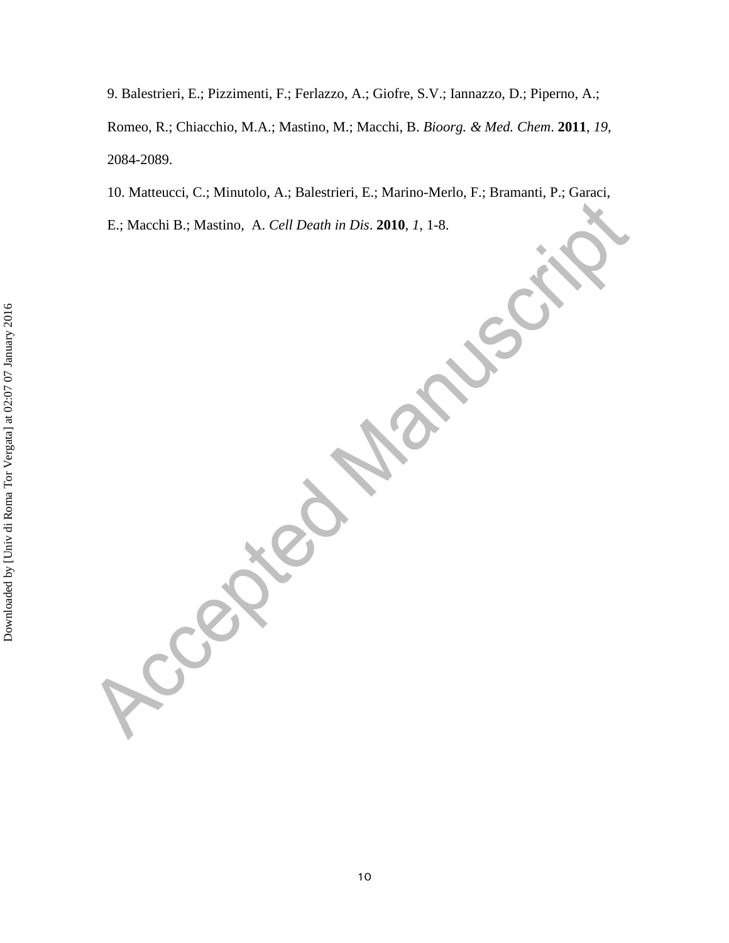9. Balestrieri, E.; Pizzimenti, F.; Ferlazzo, A.; Giofre, S.V.; Iannazzo, D.; Piperno, A.; Romeo, R.; Chiacchio, M.A.; Mastino, M.; Macchi, B. *Bioorg. & Med. Chem*. **2011**, *19*, 2084-2089.

10. Matteucci, C.; Minutolo, A.; Balestrieri, E.; Marino-Merlo, F.; Bramanti, P.; Garaci,

E.; Macchi B.; Mastino, A. *Cell Death in Dis*. **2010**, *1*, 1-8.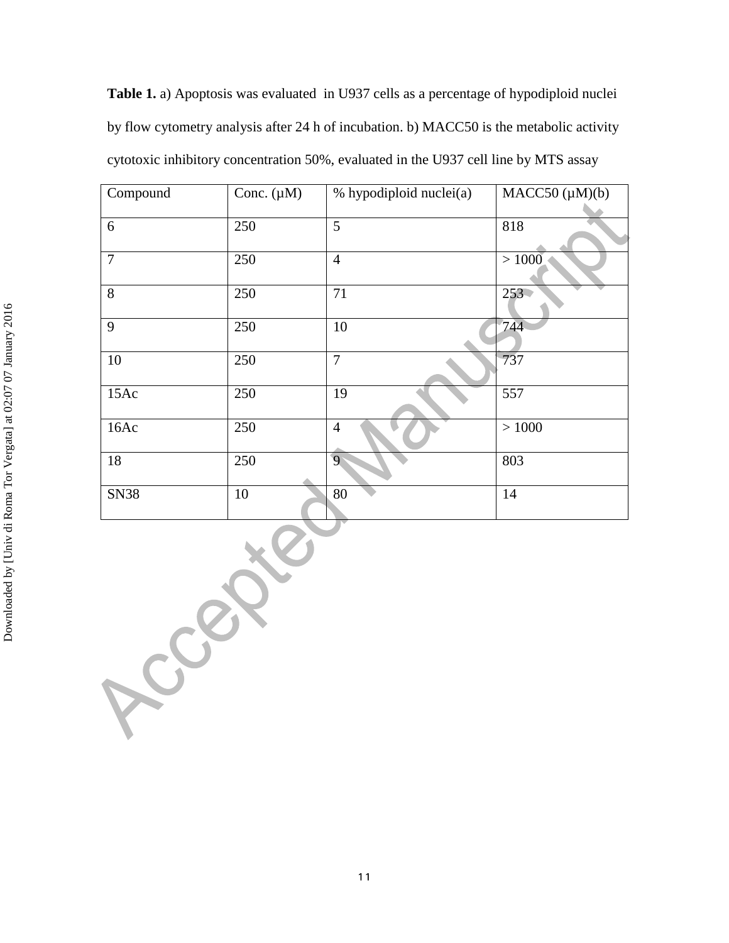**Table 1.** a) Apoptosis was evaluated in U937 cells as a percentage of hypodiploid nuclei by flow cytometry analysis after 24 h of incubation. b) MACC50 is the metabolic activity cytotoxic inhibitory concentration 50%, evaluated in the U937 cell line by MTS assay

| Compound       | Conc. $(\mu M)$ | % hypodiploid nuclei(a) | $MACC50 (\mu M)(b)$ |
|----------------|-----------------|-------------------------|---------------------|
| 6              | 250             | 5                       | 818                 |
| $\overline{7}$ | 250             | $\overline{4}$          | >1000               |
| 8              | 250             | 71                      | $253 -$             |
| 9              | 250             | 10                      | 744                 |
| 10             | 250             | $\overline{7}$          | 737                 |
| 15Ac           | 250             | 19                      | 557                 |
| 16Ac           | 250             | $\overline{4}$          | $>1000$             |
| 18             | 250             | $\overline{9}$          | 803                 |
| <b>SN38</b>    | 10              | 80                      | 14                  |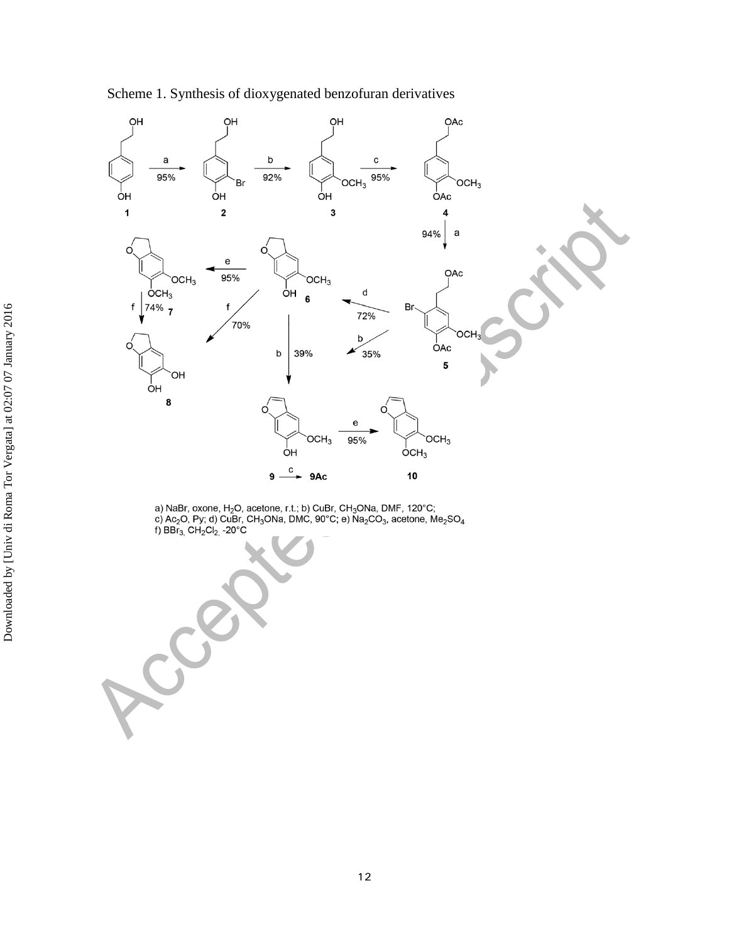



a) NaBr, oxone, H<sub>2</sub>O, acetone, r.t.; b) CuBr, CH<sub>3</sub>ONa, DMF, 120°C; c) Ac<sub>2</sub>O, Py; d) CuBr, CH<sub>3</sub>ONa, DMC, 90°C; e) Na<sub>2</sub>CO<sub>3</sub>, acetone, Me<sub>2</sub>SO<sub>4</sub> f) BBr<sub>3,</sub> CH<sub>2</sub>Cl<sub>2,</sub> -20°C